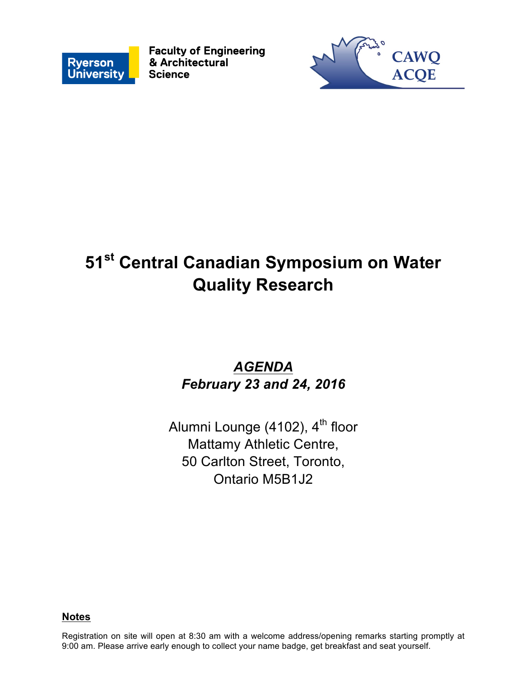

**Faculty of Engineering** & Architectural **Science** 



# **51st Central Canadian Symposium on Water Quality Research**

### *AGENDA February 23 and 24, 2016*

Alumni Lounge (4102),  $4<sup>th</sup>$  floor Mattamy Athletic Centre, 50 Carlton Street, Toronto, Ontario M5B1J2

#### **Notes**

Registration on site will open at 8:30 am with a welcome address/opening remarks starting promptly at 9:00 am. Please arrive early enough to collect your name badge, get breakfast and seat yourself.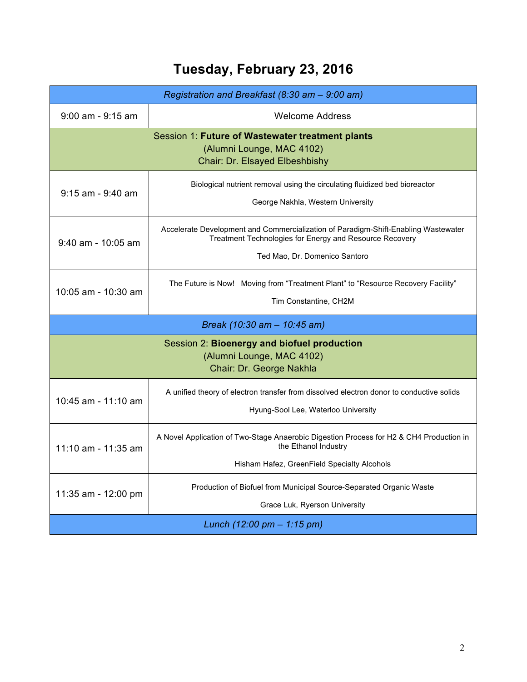## **Tuesday, February 23, 2016**

| Registration and Breakfast (8:30 am - 9:00 am)                                                                  |                                                                                                                                                                                |  |
|-----------------------------------------------------------------------------------------------------------------|--------------------------------------------------------------------------------------------------------------------------------------------------------------------------------|--|
| $9:00$ am - $9:15$ am                                                                                           | Welcome Address                                                                                                                                                                |  |
| Session 1: Future of Wastewater treatment plants<br>(Alumni Lounge, MAC 4102)<br>Chair: Dr. Elsayed Elbeshbishy |                                                                                                                                                                                |  |
| 9:15 am - 9:40 am                                                                                               | Biological nutrient removal using the circulating fluidized bed bioreactor<br>George Nakhla, Western University                                                                |  |
| $9:40$ am - 10:05 am                                                                                            | Accelerate Development and Commercialization of Paradigm-Shift-Enabling Wastewater<br>Treatment Technologies for Energy and Resource Recovery<br>Ted Mao, Dr. Domenico Santoro |  |
| 10:05 am - 10:30 am                                                                                             | The Future is Now! Moving from "Treatment Plant" to "Resource Recovery Facility"<br>Tim Constantine, CH2M                                                                      |  |
|                                                                                                                 | Break (10:30 am - 10:45 am)                                                                                                                                                    |  |
| Session 2: Bioenergy and biofuel production<br>(Alumni Lounge, MAC 4102)<br>Chair: Dr. George Nakhla            |                                                                                                                                                                                |  |
| 10:45 am - 11:10 am                                                                                             | A unified theory of electron transfer from dissolved electron donor to conductive solids<br>Hyung-Sool Lee, Waterloo University                                                |  |
| 11:10 am - 11:35 am                                                                                             | A Novel Application of Two-Stage Anaerobic Digestion Process for H2 & CH4 Production in<br>the Ethanol Industry<br>Hisham Hafez, GreenField Specialty Alcohols                 |  |
| 11:35 am - 12:00 pm                                                                                             | Production of Biofuel from Municipal Source-Separated Organic Waste<br>Grace Luk, Ryerson University                                                                           |  |
| Lunch $(12.00 \text{ pm} - 1.15 \text{ pm})$                                                                    |                                                                                                                                                                                |  |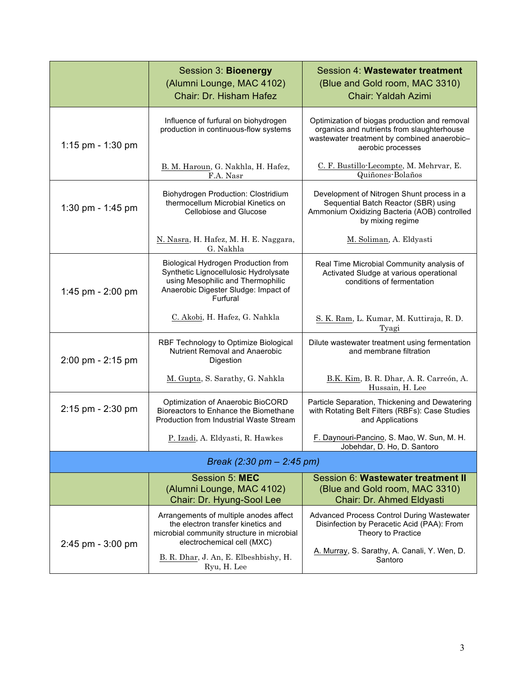|                       | Session 3: Bioenergy<br>(Alumni Lounge, MAC 4102)<br>Chair: Dr. Hisham Hafez                                                                                          | Session 4: Wastewater treatment<br>(Blue and Gold room, MAC 3310)<br>Chair: Yaldah Azimi                                                                        |  |
|-----------------------|-----------------------------------------------------------------------------------------------------------------------------------------------------------------------|-----------------------------------------------------------------------------------------------------------------------------------------------------------------|--|
| 1:15 pm - 1:30 pm     | Influence of furfural on biohydrogen<br>production in continuous-flow systems                                                                                         | Optimization of biogas production and removal<br>organics and nutrients from slaughterhouse<br>wastewater treatment by combined anaerobic-<br>aerobic processes |  |
|                       | B. M. Haroun, G. Nakhla, H. Hafez,<br>F.A. Nasr                                                                                                                       | C. F. Bustillo-Lecompte, M. Mehrvar, E.<br>Quiñones-Bolaños                                                                                                     |  |
| 1:30 pm - 1:45 pm     | Biohydrogen Production: Clostridium<br>thermocellum Microbial Kinetics on<br>Cellobiose and Glucose                                                                   | Development of Nitrogen Shunt process in a<br>Sequential Batch Reactor (SBR) using<br>Ammonium Oxidizing Bacteria (AOB) controlled<br>by mixing regime          |  |
|                       | N. Nasra, H. Hafez, M. H. E. Naggara,<br>G. Nakhla                                                                                                                    | M. Soliman, A. Eldyasti                                                                                                                                         |  |
| 1:45 pm $-$ 2:00 pm   | Biological Hydrogen Production from<br>Synthetic Lignocellulosic Hydrolysate<br>using Mesophilic and Thermophilic<br>Anaerobic Digester Sludge: Impact of<br>Furfural | Real Time Microbial Community analysis of<br>Activated Sludge at various operational<br>conditions of fermentation                                              |  |
|                       | C. Akobi, H. Hafez, G. Nahkla                                                                                                                                         | S. K. Ram, L. Kumar, M. Kuttiraja, R. D.<br>Tyagi                                                                                                               |  |
| 2:00 pm - 2:15 pm     | RBF Technology to Optimize Biological<br>Nutrient Removal and Anaerobic<br>Digestion                                                                                  | Dilute wastewater treatment using fermentation<br>and membrane filtration                                                                                       |  |
|                       | M. Gupta, S. Sarathy, G. Nahkla                                                                                                                                       | B.K. Kim, B.R. Dhar, A.R. Carreón, A.<br>Hussain, H. Lee                                                                                                        |  |
| 2:15 pm - 2:30 pm     | Optimization of Anaerobic BioCORD<br>Bioreactors to Enhance the Biomethane<br>Production from Industrial Waste Stream                                                 | Particle Separation, Thickening and Dewatering<br>with Rotating Belt Filters (RBFs): Case Studies<br>and Applications                                           |  |
|                       | P. Izadi, A. Eldyasti, R. Hawkes                                                                                                                                      | F. Daynouri-Pancino, S. Mao, W. Sun, M. H.<br>Jobehdar, D. Ho, D. Santoro                                                                                       |  |
|                       | Break (2:30 pm $-$ 2:45 pm)                                                                                                                                           |                                                                                                                                                                 |  |
|                       | Session 5: MEC<br>(Alumni Lounge, MAC 4102)<br>Chair: Dr. Hyung-Sool Lee                                                                                              | Session 6: Wastewater treatment II<br>(Blue and Gold room, MAC 3310)<br>Chair: Dr. Ahmed Eldyasti                                                               |  |
| $2:45$ pm - $3:00$ pm | Arrangements of multiple anodes affect<br>the electron transfer kinetics and<br>microbial community structure in microbial<br>electrochemical cell (MXC)              | <b>Advanced Process Control During Wastewater</b><br>Disinfection by Peracetic Acid (PAA): From<br>Theory to Practice                                           |  |
|                       | B. R. Dhar, J. An, E. Elbeshbishy, H.<br>Ryu, H. Lee                                                                                                                  | A. Murray, S. Sarathy, A. Canali, Y. Wen, D.<br>Santoro                                                                                                         |  |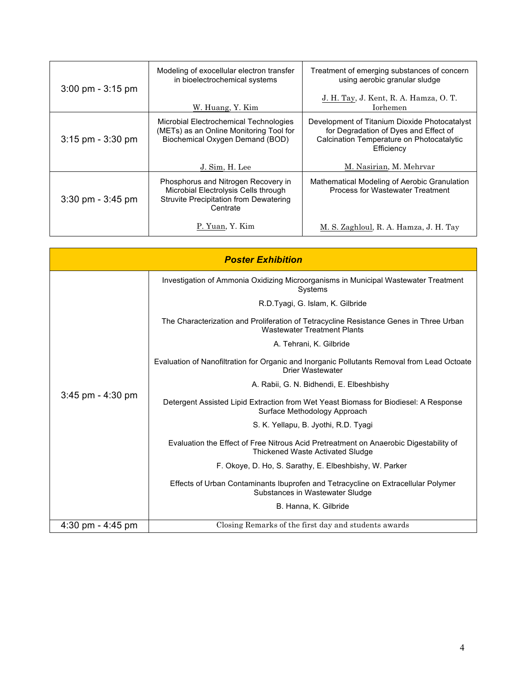| $3:00 \text{ pm} - 3:15 \text{ pm}$ | Modeling of exocellular electron transfer<br>in bioelectrochemical systems                                                        | Treatment of emerging substances of concern<br>using aerobic granular sludge                                                                      |
|-------------------------------------|-----------------------------------------------------------------------------------------------------------------------------------|---------------------------------------------------------------------------------------------------------------------------------------------------|
|                                     | W. Huang, Y. Kim                                                                                                                  | J. H. Tay, J. Kent, R. A. Hamza, O. T.<br><b>Iorhemen</b>                                                                                         |
| $3:15$ pm - $3:30$ pm               | Microbial Electrochemical Technologies<br>(METs) as an Online Monitoring Tool for<br>Biochemical Oxygen Demand (BOD)              | Development of Titanium Dioxide Photocatalyst<br>for Degradation of Dyes and Effect of<br>Calcination Temperature on Photocatalytic<br>Efficiency |
|                                     | J. Sim, H. Lee                                                                                                                    | M. Nasirian, M. Mehrvar                                                                                                                           |
| $3:30 \text{ pm} - 3:45 \text{ pm}$ | Phosphorus and Nitrogen Recovery in<br>Microbial Electrolysis Cells through<br>Struvite Precipitation from Dewatering<br>Centrate | Mathematical Modeling of Aerobic Granulation<br>Process for Wastewater Treatment                                                                  |
|                                     | P. Yuan, Y. Kim                                                                                                                   | M. S. Zaghloul, R. A. Hamza, J. H. Tay                                                                                                            |

| <b>Poster Exhibition</b> |                                                                                                                              |  |
|--------------------------|------------------------------------------------------------------------------------------------------------------------------|--|
| $3:45$ pm - $4:30$ pm    | Investigation of Ammonia Oxidizing Microorganisms in Municipal Wastewater Treatment<br>Systems                               |  |
|                          | R.D.Tyagi, G. Islam, K. Gilbride                                                                                             |  |
|                          | The Characterization and Proliferation of Tetracycline Resistance Genes in Three Urban<br><b>Wastewater Treatment Plants</b> |  |
|                          | A. Tehrani, K. Gilbride                                                                                                      |  |
|                          | Evaluation of Nanofiltration for Organic and Inorganic Pollutants Removal from Lead Octoate<br>Drier Wastewater              |  |
|                          | A. Rabii, G. N. Bidhendi, E. Elbeshbishy                                                                                     |  |
|                          | Detergent Assisted Lipid Extraction from Wet Yeast Biomass for Biodiesel: A Response<br>Surface Methodology Approach         |  |
|                          | S. K. Yellapu, B. Jyothi, R.D. Tyagi                                                                                         |  |
|                          | Evaluation the Effect of Free Nitrous Acid Pretreatment on Anaerobic Digestability of<br>Thickened Waste Activated Sludge    |  |
|                          | F. Okove, D. Ho, S. Sarathy, E. Elbeshbishy, W. Parker                                                                       |  |
|                          | Effects of Urban Contaminants Ibuprofen and Tetracycline on Extracellular Polymer<br>Substances in Wastewater Sludge         |  |
|                          | B. Hanna, K. Gilbride                                                                                                        |  |
| 4:30 pm - $4:45$ pm      | Closing Remarks of the first day and students awards                                                                         |  |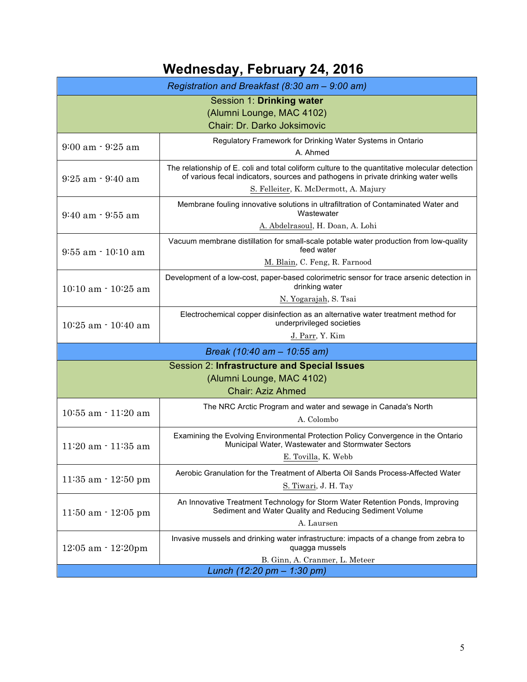## **Wednesday, February 24, 2016**

| Registration and Breakfast (8:30 am - 9:00 am)                                                        |                                                                                                                                                                                                                               |  |
|-------------------------------------------------------------------------------------------------------|-------------------------------------------------------------------------------------------------------------------------------------------------------------------------------------------------------------------------------|--|
| Session 1: Drinking water<br>(Alumni Lounge, MAC 4102)<br>Chair: Dr. Darko Joksimovic                 |                                                                                                                                                                                                                               |  |
| $9:00$ am $\cdot$ $9:25$ am                                                                           | Regulatory Framework for Drinking Water Systems in Ontario<br>A. Ahmed                                                                                                                                                        |  |
| $9:25$ am $\cdot$ $9:40$ am                                                                           | The relationship of E. coli and total coliform culture to the quantitative molecular detection<br>of various fecal indicators, sources and pathogens in private drinking water wells<br>S. Felleiter, K. McDermott, A. Majury |  |
| $9:40$ am $\cdot$ $9:55$ am                                                                           | Membrane fouling innovative solutions in ultrafiltration of Contaminated Water and<br>Wastewater<br>A. Abdelrasoul, H. Doan, A. Lohi                                                                                          |  |
| $9:55$ am $\cdot$ 10:10 am                                                                            | Vacuum membrane distillation for small-scale potable water production from low-quality<br>feed water<br>M. Blain, C. Feng, R. Farnood                                                                                         |  |
| $10:10$ am $-10:25$ am                                                                                | Development of a low-cost, paper-based colorimetric sensor for trace arsenic detection in<br>drinking water<br>N. Yogarajah, S. Tsai                                                                                          |  |
| $10:25$ am $\cdot$ 10:40 am                                                                           | Electrochemical copper disinfection as an alternative water treatment method for<br>underprivileged societies<br>J. Parr, Y. Kim                                                                                              |  |
|                                                                                                       | Break (10:40 am - 10:55 am)                                                                                                                                                                                                   |  |
| Session 2: Infrastructure and Special Issues<br>(Alumni Lounge, MAC 4102)<br><b>Chair: Aziz Ahmed</b> |                                                                                                                                                                                                                               |  |
| $10:55$ am $\cdot$ 11:20 am                                                                           | The NRC Arctic Program and water and sewage in Canada's North<br>A. Colombo                                                                                                                                                   |  |
| $11:20$ am $\cdot$ 11:35 am                                                                           | Examining the Evolving Environmental Protection Policy Convergence in the Ontario<br>Municipal Water, Wastewater and Stormwater Sectors<br>E. Tovilla, K. Webb                                                                |  |
| $11:35$ am $\cdot$ $12:50$ pm                                                                         | Aerobic Granulation for the Treatment of Alberta Oil Sands Process-Affected Water<br>S. Tiwari, J. H. Tay                                                                                                                     |  |
| $11:50$ am $\cdot$ 12:05 pm                                                                           | An Innovative Treatment Technology for Storm Water Retention Ponds, Improving<br>Sediment and Water Quality and Reducing Sediment Volume<br>A. Laursen                                                                        |  |
| $12:05$ am $\cdot$ $12:20$ pm                                                                         | Invasive mussels and drinking water infrastructure: impacts of a change from zebra to<br>quagga mussels<br>B. Ginn, A. Cranmer, L. Meteer                                                                                     |  |
| Lunch (12:20 pm - 1:30 pm)                                                                            |                                                                                                                                                                                                                               |  |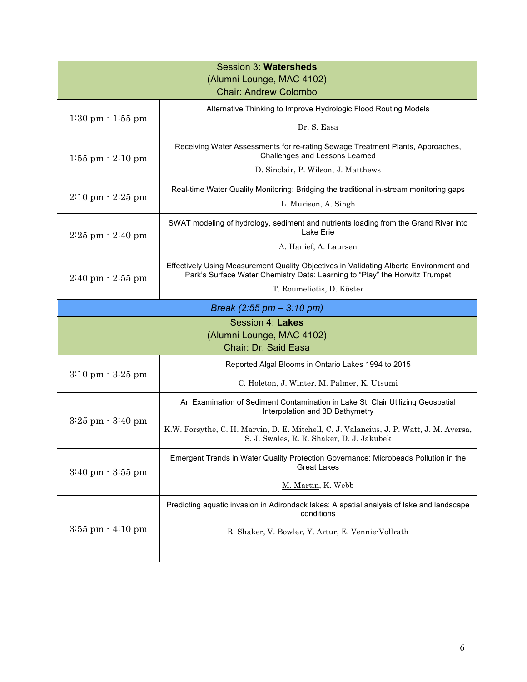| Session 3: Watersheds                   |                                                                                                                                                                       |
|-----------------------------------------|-----------------------------------------------------------------------------------------------------------------------------------------------------------------------|
| (Alumni Lounge, MAC 4102)               |                                                                                                                                                                       |
|                                         | <b>Chair: Andrew Colombo</b>                                                                                                                                          |
| $1:30 \text{ pm} - 1:55 \text{ pm}$     | Alternative Thinking to Improve Hydrologic Flood Routing Models                                                                                                       |
|                                         | Dr. S. Easa                                                                                                                                                           |
| $1:55$ pm $-2:10$ pm                    | Receiving Water Assessments for re-rating Sewage Treatment Plants, Approaches,<br>Challenges and Lessons Learned                                                      |
|                                         | D. Sinclair, P. Wilson, J. Matthews                                                                                                                                   |
| $2:10 \text{ pm} \cdot 2:25 \text{ pm}$ | Real-time Water Quality Monitoring: Bridging the traditional in-stream monitoring gaps                                                                                |
|                                         | L. Murison, A. Singh                                                                                                                                                  |
| $2:25$ pm $-2:40$ pm                    | SWAT modeling of hydrology, sediment and nutrients loading from the Grand River into<br>Lake Erie                                                                     |
|                                         | A. Hanief, A. Laursen                                                                                                                                                 |
| $2:40 \text{ pm} \cdot 2:55 \text{ pm}$ | Effectively Using Measurement Quality Objectives in Validating Alberta Environment and<br>Park's Surface Water Chemistry Data: Learning to "Play" the Horwitz Trumpet |
|                                         | T. Roumeliotis, D. Köster                                                                                                                                             |
|                                         | Break $(2:55 \text{ pm} - 3:10 \text{ pm})$                                                                                                                           |
|                                         | Session 4: Lakes                                                                                                                                                      |
|                                         | (Alumni Lounge, MAC 4102)                                                                                                                                             |
|                                         | Chair: Dr. Said Easa                                                                                                                                                  |
| $3:10 \text{ pm} - 3:25 \text{ pm}$     | Reported Algal Blooms in Ontario Lakes 1994 to 2015                                                                                                                   |
|                                         | C. Holeton, J. Winter, M. Palmer, K. Utsumi                                                                                                                           |
| $3:25$ pm $-3:40$ pm                    | An Examination of Sediment Contamination in Lake St. Clair Utilizing Geospatial<br>Interpolation and 3D Bathymetry                                                    |
|                                         | K.W. Forsythe, C. H. Marvin, D. E. Mitchell, C. J. Valancius, J. P. Watt, J. M. Aversa,<br>S. J. Swales, R. R. Shaker, D. J. Jakubek                                  |
| $3:40 \text{ pm} - 3:55 \text{ pm}$     | Emergent Trends in Water Quality Protection Governance: Microbeads Pollution in the<br><b>Great Lakes</b>                                                             |
|                                         | M. Martin, K. Webb                                                                                                                                                    |
| $3:55$ pm $\cdot$ $4:10$ pm             | Predicting aquatic invasion in Adirondack lakes: A spatial analysis of lake and landscape<br>conditions                                                               |
|                                         | R. Shaker, V. Bowler, Y. Artur, E. Vennie-Vollrath                                                                                                                    |
|                                         |                                                                                                                                                                       |